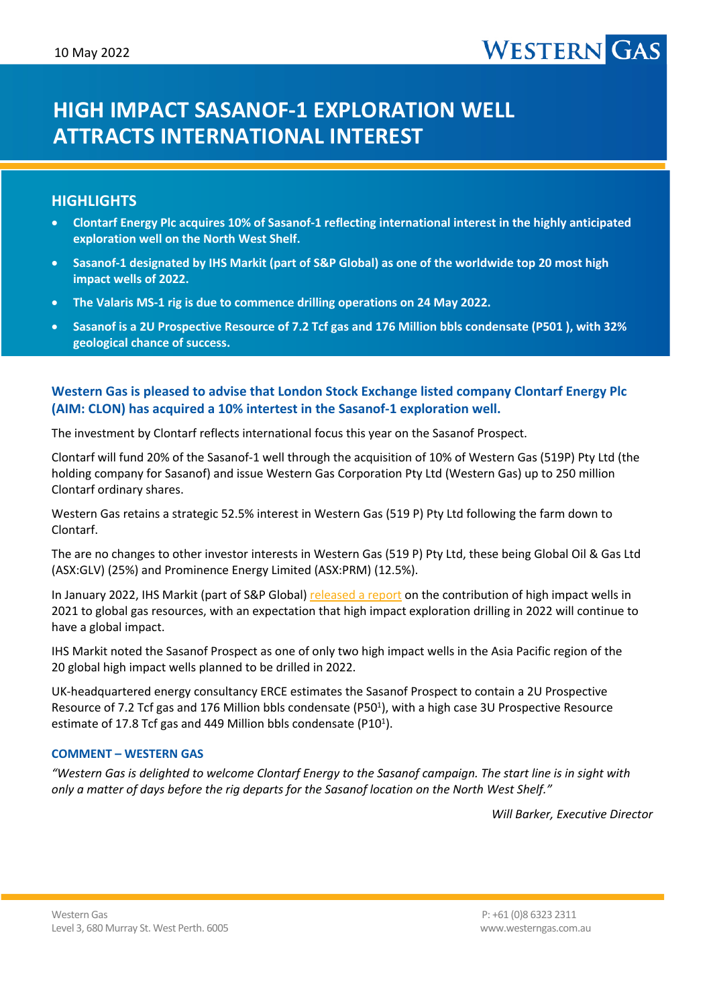# **HIGH IMPACT SASANOF-1 EXPLORATION WELL ATTRACTS INTERNATIONAL INTEREST**

# **HIGHLIGHTS**

- **Clontarf Energy Plc acquires 10% of Sasanof-1 reflecting international interest in the highly anticipated exploration well on the North West Shelf.**
- **Sasanof-1 designated by IHS Markit (part of S&P Global) as one of the worldwide top 20 most high impact wells of 2022.**
- **The Valaris MS-1 rig is due to commence drilling operations on 24 May 2022.**
- **Sasanof is a 2U Prospective Resource of 7.2 Tcf gas and 176 Million bbls condensate (P501 ), with 32% geological chance of success.**

# **Western Gas is pleased to advise that London Stock Exchange listed company Clontarf Energy Plc (AIM: CLON) has acquired a 10% intertest in the Sasanof-1 exploration well.**

The investment by Clontarf reflects international focus this year on the Sasanof Prospect.

Clontarf will fund 20% of the Sasanof-1 well through the acquisition of 10% of Western Gas (519P) Pty Ltd (the holding company for Sasanof) and issue Western Gas Corporation Pty Ltd (Western Gas) up to 250 million Clontarf ordinary shares.

Western Gas retains a strategic 52.5% interest in Western Gas (519 P) Pty Ltd following the farm down to Clontarf.

The are no changes to other investor interests in Western Gas (519 P) Pty Ltd, these being Global Oil & Gas Ltd (ASX:GLV) (25%) and Prominence Energy Limited (ASX:PRM) (12.5%).

In January 2022, IHS Markit (part of S&P Global) [released a report](https://ihsmarkit.com/research-analysis/2022-high-impact-well-report.html) on the contribution of high impact wells in 2021 to global gas resources, with an expectation that high impact exploration drilling in 2022 will continue to have a global impact.

IHS Markit noted the Sasanof Prospect as one of only two high impact wells in the Asia Pacific region of the 20 global high impact wells planned to be drilled in 2022.

UK-headquartered energy consultancy ERCE estimates the Sasanof Prospect to contain a 2U Prospective Resource of 7.2 Tcf gas and 176 Million bbls condensate (P50<sup>1</sup>), with a high case 3U Prospective Resource estimate of 17.8 Tcf gas and 449 Million bbls condensate (P10<sup>1</sup>).

## **COMMENT – WESTERN GAS**

*"Western Gas is delighted to welcome Clontarf Energy to the Sasanof campaign. The start line is in sight with only a matter of days before the rig departs for the Sasanof location on the North West Shelf."*

*Will Barker, Executive Director*